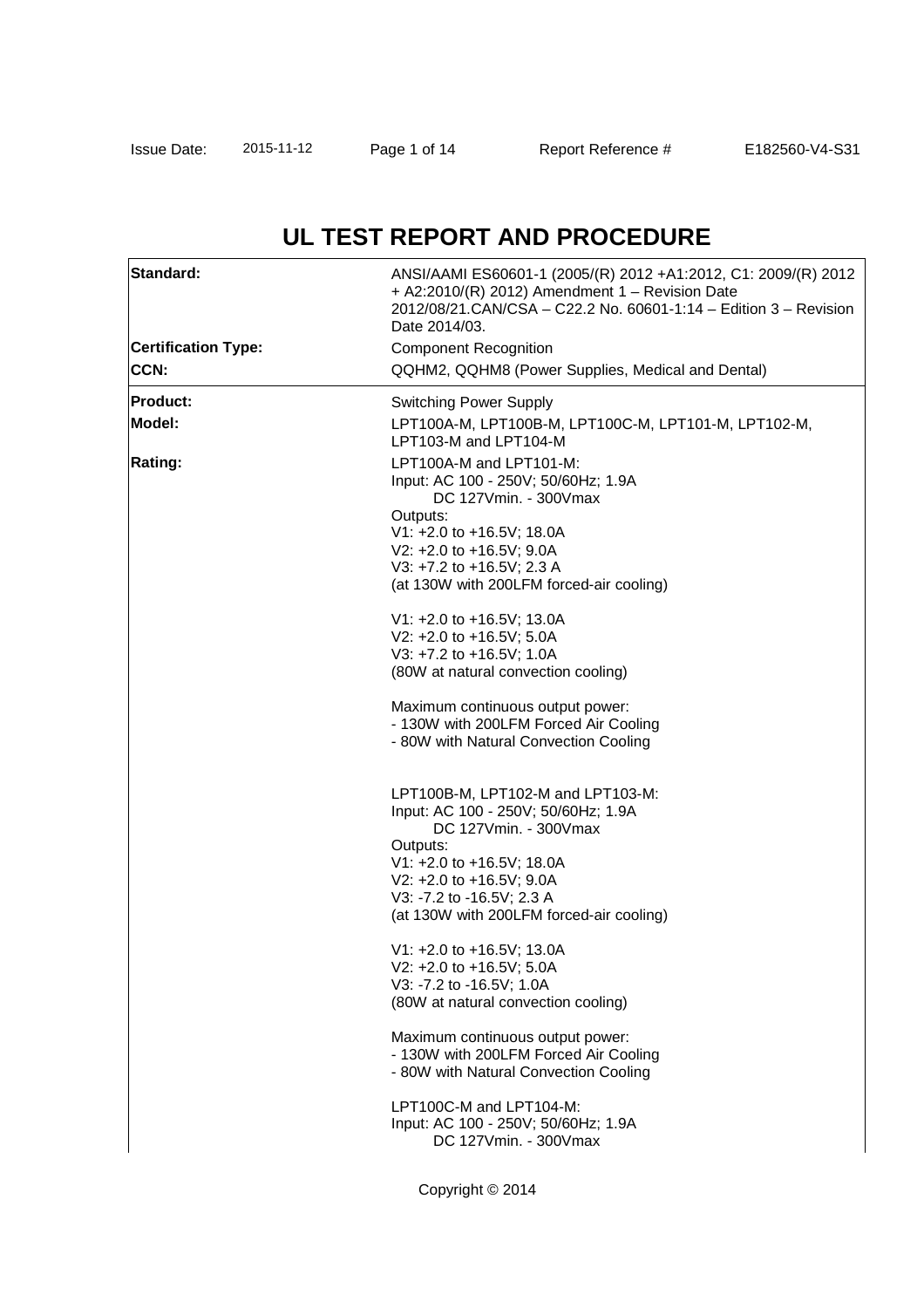# **UL TEST REPORT AND PROCEDURE**

| Standard:                  | ANSI/AAMI ES60601-1 (2005/(R) 2012 +A1:2012, C1: 2009/(R) 2012<br>+ A2:2010/(R) 2012) Amendment 1 - Revision Date<br>2012/08/21.CAN/CSA - C22.2 No. 60601-1:14 - Edition 3 - Revision<br>Date 2014/03. |  |  |
|----------------------------|--------------------------------------------------------------------------------------------------------------------------------------------------------------------------------------------------------|--|--|
| <b>Certification Type:</b> | <b>Component Recognition</b>                                                                                                                                                                           |  |  |
| <b>CCN:</b>                | QQHM2, QQHM8 (Power Supplies, Medical and Dental)                                                                                                                                                      |  |  |
| <b>Product:</b>            | <b>Switching Power Supply</b>                                                                                                                                                                          |  |  |
| Model:                     | LPT100A-M, LPT100B-M, LPT100C-M, LPT101-M, LPT102-M,<br>LPT103-M and LPT104-M                                                                                                                          |  |  |
| <b>Rating:</b>             | LPT100A-M and LPT101-M:<br>Input: AC 100 - 250V; 50/60Hz; 1.9A<br>DC 127Vmin. - 300Vmax                                                                                                                |  |  |
|                            | Outputs:                                                                                                                                                                                               |  |  |
|                            | V1: +2.0 to +16.5V; 18.0A                                                                                                                                                                              |  |  |
|                            | V2: +2.0 to +16.5V; 9.0A<br>V3: +7.2 to +16.5V; 2.3 A                                                                                                                                                  |  |  |
|                            | (at 130W with 200LFM forced-air cooling)                                                                                                                                                               |  |  |
|                            | V1: +2.0 to +16.5V; 13.0A                                                                                                                                                                              |  |  |
|                            | V2: +2.0 to +16.5V; 5.0A                                                                                                                                                                               |  |  |
|                            | V3: +7.2 to +16.5V; 1.0A                                                                                                                                                                               |  |  |
|                            | (80W at natural convection cooling)                                                                                                                                                                    |  |  |
|                            | Maximum continuous output power:                                                                                                                                                                       |  |  |
|                            | - 130W with 200LFM Forced Air Cooling<br>- 80W with Natural Convection Cooling                                                                                                                         |  |  |
|                            |                                                                                                                                                                                                        |  |  |
|                            | LPT100B-M, LPT102-M and LPT103-M:                                                                                                                                                                      |  |  |
|                            | Input: AC 100 - 250V; 50/60Hz; 1.9A                                                                                                                                                                    |  |  |
|                            | DC 127Vmin. - 300Vmax                                                                                                                                                                                  |  |  |
|                            | Outputs:<br>V1: +2.0 to +16.5V; 18.0A                                                                                                                                                                  |  |  |
|                            | V2: +2.0 to +16.5V; 9.0A                                                                                                                                                                               |  |  |
|                            | V3: -7.2 to -16.5V; 2.3 A                                                                                                                                                                              |  |  |
|                            | (at 130W with 200LFM forced-air cooling)                                                                                                                                                               |  |  |
|                            | $V1: +2.0$ to $+16.5V$ ; 13.0A                                                                                                                                                                         |  |  |
|                            | V2: +2.0 to +16.5V; 5.0A                                                                                                                                                                               |  |  |
|                            | V3: -7.2 to -16.5V; 1.0A<br>(80W at natural convection cooling)                                                                                                                                        |  |  |
|                            |                                                                                                                                                                                                        |  |  |
|                            | Maximum continuous output power:                                                                                                                                                                       |  |  |
|                            | - 130W with 200LFM Forced Air Cooling<br>- 80W with Natural Convection Cooling                                                                                                                         |  |  |
|                            |                                                                                                                                                                                                        |  |  |
|                            | LPT100C-M and LPT104-M:<br>Input: AC 100 - 250V; 50/60Hz; 1.9A                                                                                                                                         |  |  |
|                            | DC 127Vmin. - 300Vmax                                                                                                                                                                                  |  |  |
|                            |                                                                                                                                                                                                        |  |  |
|                            | Copyright © 2014                                                                                                                                                                                       |  |  |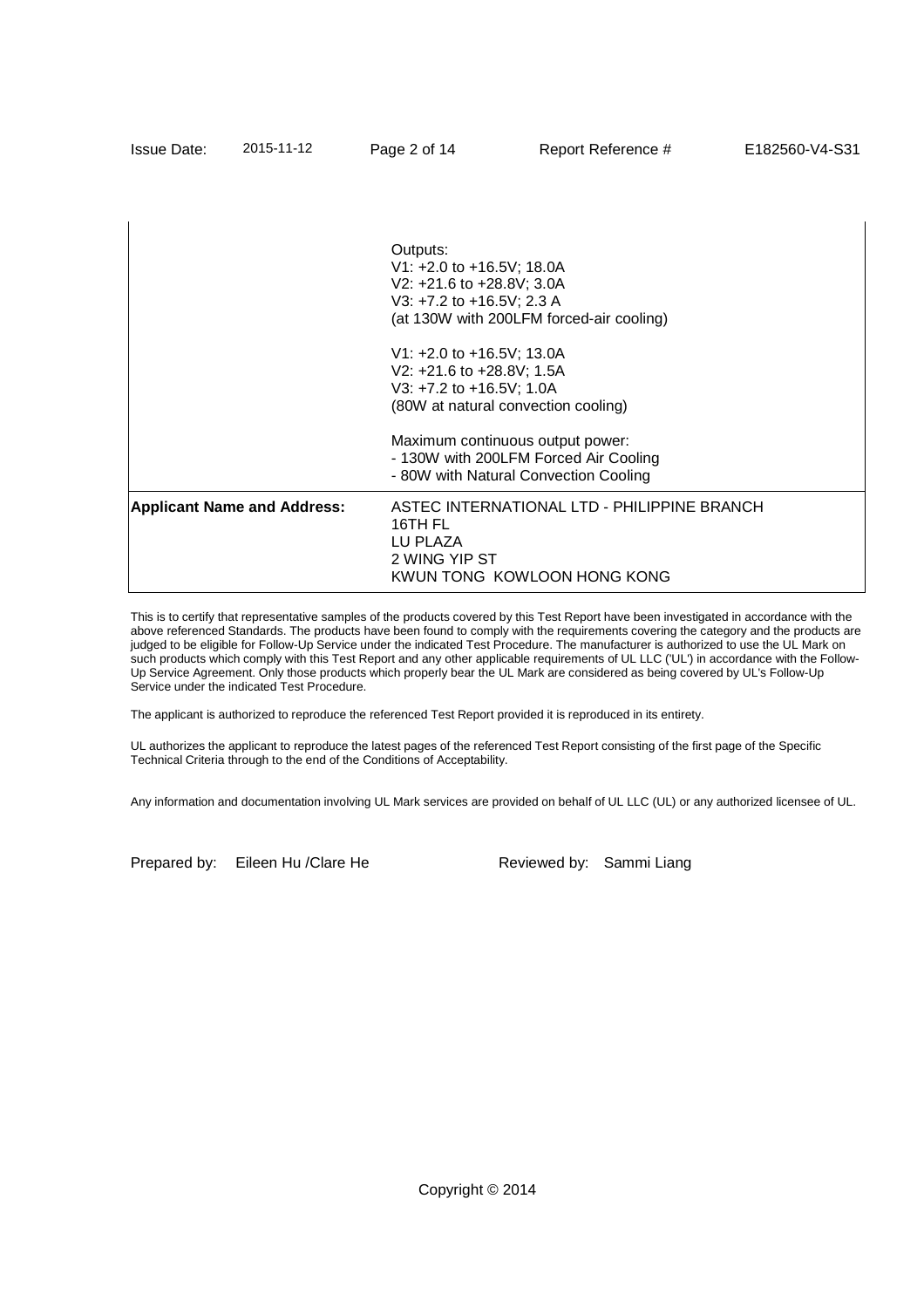| <b>Issue Date:</b>                                                                                                                                       | 2015-11-12 | Page 2 of 14 | Report Reference #                                                                                                                                                                                                                                                | E182560-V4-S31 |  |  |
|----------------------------------------------------------------------------------------------------------------------------------------------------------|------------|--------------|-------------------------------------------------------------------------------------------------------------------------------------------------------------------------------------------------------------------------------------------------------------------|----------------|--|--|
|                                                                                                                                                          |            | Outputs:     |                                                                                                                                                                                                                                                                   |                |  |  |
|                                                                                                                                                          |            |              | V1: +2.0 to +16.5V; 18.0A<br>V2: +21.6 to +28.8V; 3.0A<br>V3: +7.2 to +16.5V; 2.3 A<br>(at 130W with 200LFM forced-air cooling)<br>V1: +2.0 to +16.5V; 13.0A<br>V2: +21.6 to +28.8V; 1.5A<br>V3: $+7.2$ to $+16.5$ V; 1.0A<br>(80W at natural convection cooling) |                |  |  |
|                                                                                                                                                          |            |              |                                                                                                                                                                                                                                                                   |                |  |  |
|                                                                                                                                                          |            |              | Maximum continuous output power:<br>- 130W with 200LFM Forced Air Cooling<br>- 80W with Natural Convection Cooling                                                                                                                                                |                |  |  |
| <b>Applicant Name and Address:</b><br>ASTEC INTERNATIONAL LTD - PHILIPPINE BRANCH<br>16TH FL<br>LU PLAZA<br>2 WING YIP ST<br>KWUN TONG KOWLOON HONG KONG |            |              |                                                                                                                                                                                                                                                                   |                |  |  |

This is to certify that representative samples of the products covered by this Test Report have been investigated in accordance with the above referenced Standards. The products have been found to comply with the requirements covering the category and the products are judged to be eligible for Follow-Up Service under the indicated Test Procedure. The manufacturer is authorized to use the UL Mark on such products which comply with this Test Report and any other applicable requirements of UL LLC ('UL') in accordance with the Follow-Up Service Agreement. Only those products which properly bear the UL Mark are considered as being covered by UL's Follow-Up Service under the indicated Test Procedure.

The applicant is authorized to reproduce the referenced Test Report provided it is reproduced in its entirety.

UL authorizes the applicant to reproduce the latest pages of the referenced Test Report consisting of the first page of the Specific Technical Criteria through to the end of the Conditions of Acceptability.

Any information and documentation involving UL Mark services are provided on behalf of UL LLC (UL) or any authorized licensee of UL.

Prepared by: Eileen Hu / Clare He Reviewed by: Sammi Liang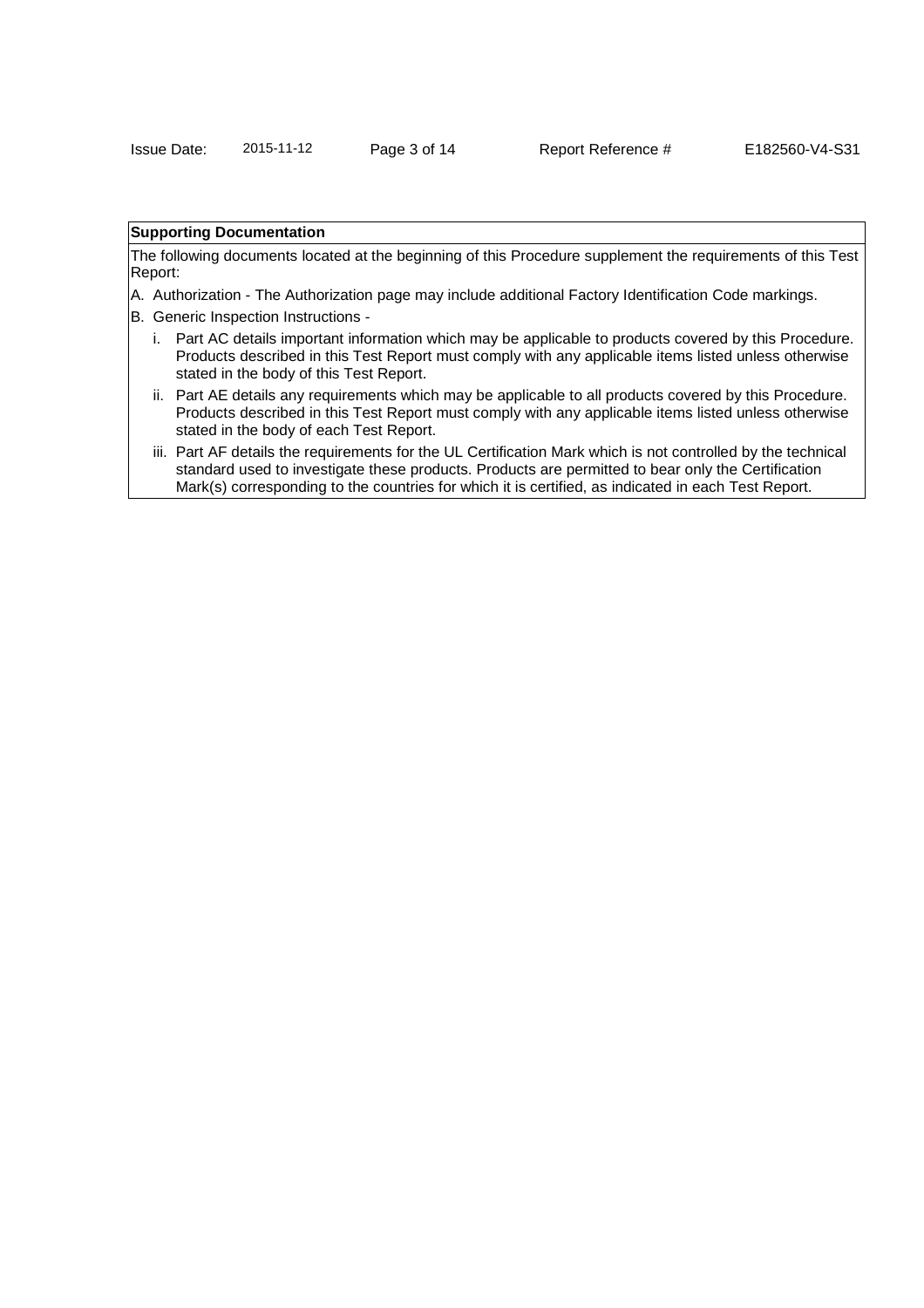## **Supporting Documentation**

The following documents located at the beginning of this Procedure supplement the requirements of this Test Report:

- A. Authorization The Authorization page may include additional Factory Identification Code markings.
- B. Generic Inspection Instructions
	- i. Part AC details important information which may be applicable to products covered by this Procedure. Products described in this Test Report must comply with any applicable items listed unless otherwise stated in the body of this Test Report.
	- ii. Part AE details any requirements which may be applicable to all products covered by this Procedure. Products described in this Test Report must comply with any applicable items listed unless otherwise stated in the body of each Test Report.
	- iii. Part AF details the requirements for the UL Certification Mark which is not controlled by the technical standard used to investigate these products. Products are permitted to bear only the Certification Mark(s) corresponding to the countries for which it is certified, as indicated in each Test Report.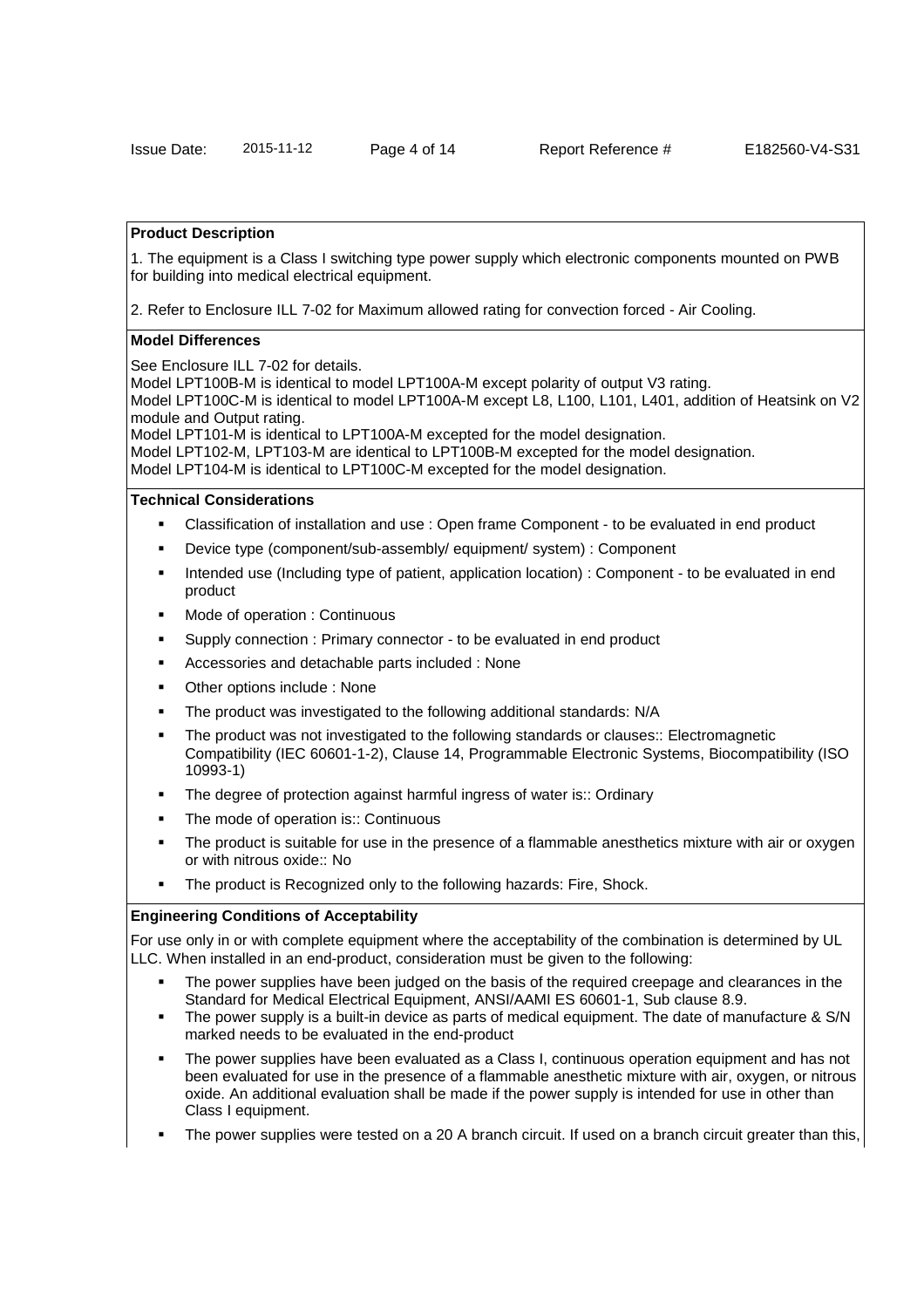### **Product Description**

1. The equipment is a Class I switching type power supply which electronic components mounted on PWB for building into medical electrical equipment.

2. Refer to Enclosure ILL 7-02 for Maximum allowed rating for convection forced - Air Cooling.

### **Model Differences**

See Enclosure ILL 7-02 for details.

Model LPT100B-M is identical to model LPT100A-M except polarity of output V3 rating.

Model LPT100C-M is identical to model LPT100A-M except L8, L100, L101, L401, addition of Heatsink on V2 module and Output rating.

Model LPT101-M is identical to LPT100A-M excepted for the model designation. Model LPT102-M, LPT103-M are identical to LPT100B-M excepted for the model designation.

Model LPT104-M is identical to LPT100C-M excepted for the model designation.

### **Technical Considerations**

- Classification of installation and use : Open frame Component to be evaluated in end product
- Device type (component/sub-assembly/ equipment/ system) : Component
- Intended use (Including type of patient, application location) : Component to be evaluated in end product
- Mode of operation : Continuous
- Supply connection : Primary connector to be evaluated in end product
- Accessories and detachable parts included : None
- Other options include : None
- The product was investigated to the following additional standards: N/A
- The product was not investigated to the following standards or clauses:: Electromagnetic Compatibility (IEC 60601-1-2), Clause 14, Programmable Electronic Systems, Biocompatibility (ISO 10993-1)
- The degree of protection against harmful ingress of water is:: Ordinary
- The mode of operation is:: Continuous
- The product is suitable for use in the presence of a flammable anesthetics mixture with air or oxygen or with nitrous oxide:: No
- The product is Recognized only to the following hazards: Fire, Shock.

#### **Engineering Conditions of Acceptability**

For use only in or with complete equipment where the acceptability of the combination is determined by UL LLC. When installed in an end-product, consideration must be given to the following:

- The power supplies have been judged on the basis of the required creepage and clearances in the Standard for Medical Electrical Equipment, ANSI/AAMI ES 60601-1, Sub clause 8.9.
- The power supply is a built-in device as parts of medical equipment. The date of manufacture & S/N marked needs to be evaluated in the end-product
- The power supplies have been evaluated as a Class I, continuous operation equipment and has not been evaluated for use in the presence of a flammable anesthetic mixture with air, oxygen, or nitrous oxide. An additional evaluation shall be made if the power supply is intended for use in other than Class I equipment.
- The power supplies were tested on a 20 A branch circuit. If used on a branch circuit greater than this,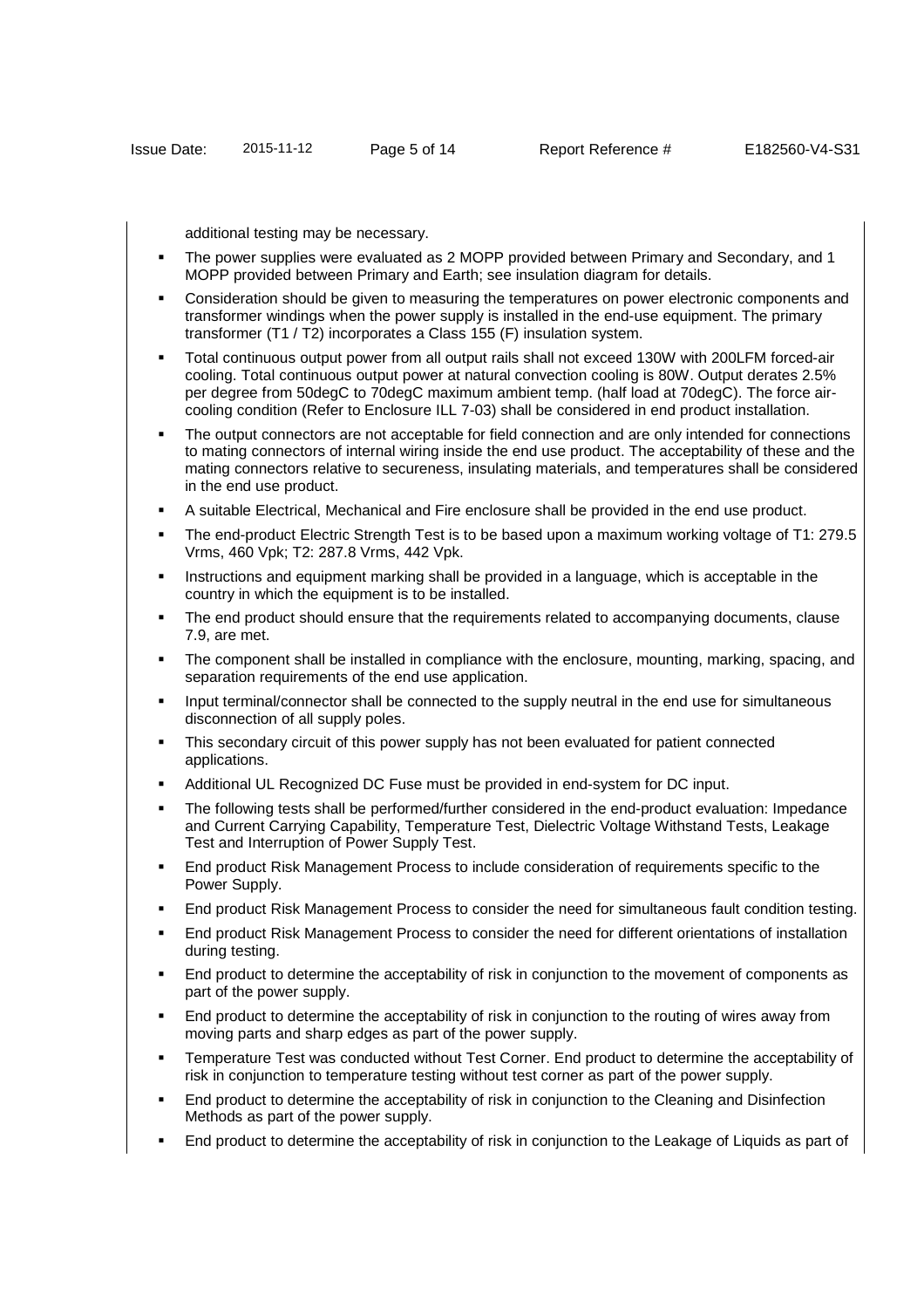additional testing may be necessary.

- The power supplies were evaluated as 2 MOPP provided between Primary and Secondary, and 1 MOPP provided between Primary and Earth; see insulation diagram for details.
- Consideration should be given to measuring the temperatures on power electronic components and transformer windings when the power supply is installed in the end-use equipment. The primary transformer (T1 / T2) incorporates a Class 155 (F) insulation system.
- Total continuous output power from all output rails shall not exceed 130W with 200LFM forced-air cooling. Total continuous output power at natural convection cooling is 80W. Output derates 2.5% per degree from 50degC to 70degC maximum ambient temp. (half load at 70degC). The force aircooling condition (Refer to Enclosure ILL 7-03) shall be considered in end product installation.
- The output connectors are not acceptable for field connection and are only intended for connections to mating connectors of internal wiring inside the end use product. The acceptability of these and the mating connectors relative to secureness, insulating materials, and temperatures shall be considered in the end use product.
- A suitable Electrical, Mechanical and Fire enclosure shall be provided in the end use product.
- The end-product Electric Strength Test is to be based upon a maximum working voltage of T1: 279.5 Vrms, 460 Vpk; T2: 287.8 Vrms, 442 Vpk.
- Instructions and equipment marking shall be provided in a language, which is acceptable in the country in which the equipment is to be installed.
- The end product should ensure that the requirements related to accompanying documents, clause 7.9, are met.
- The component shall be installed in compliance with the enclosure, mounting, marking, spacing, and separation requirements of the end use application.
- Input terminal/connector shall be connected to the supply neutral in the end use for simultaneous disconnection of all supply poles.
- This secondary circuit of this power supply has not been evaluated for patient connected applications.
- Additional UL Recognized DC Fuse must be provided in end-system for DC input.
- The following tests shall be performed/further considered in the end-product evaluation: Impedance and Current Carrying Capability, Temperature Test, Dielectric Voltage Withstand Tests, Leakage Test and Interruption of Power Supply Test.
- End product Risk Management Process to include consideration of requirements specific to the Power Supply.
- End product Risk Management Process to consider the need for simultaneous fault condition testing.
- End product Risk Management Process to consider the need for different orientations of installation during testing.
- End product to determine the acceptability of risk in conjunction to the movement of components as part of the power supply.
- End product to determine the acceptability of risk in conjunction to the routing of wires away from moving parts and sharp edges as part of the power supply.
- Temperature Test was conducted without Test Corner. End product to determine the acceptability of risk in conjunction to temperature testing without test corner as part of the power supply.
- End product to determine the acceptability of risk in conjunction to the Cleaning and Disinfection Methods as part of the power supply.
- End product to determine the acceptability of risk in conjunction to the Leakage of Liquids as part of